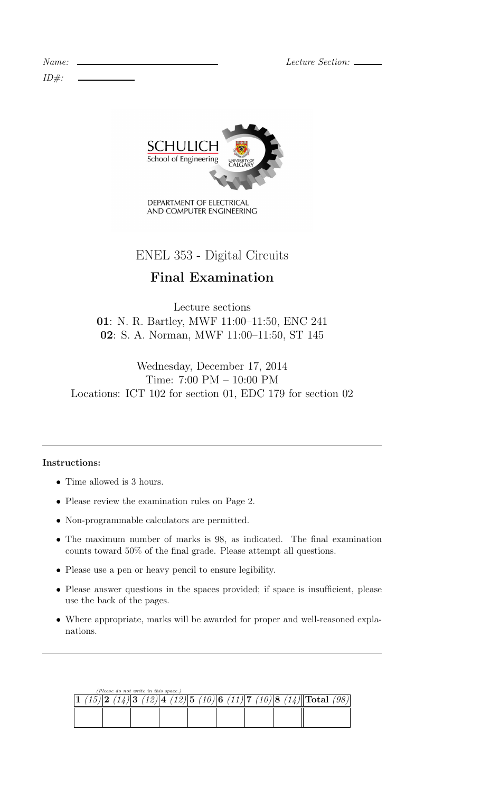Lecture Section:  $\Box$ 

| Name:   |  |
|---------|--|
| $ID#$ : |  |



DEPARTMENT OF ELECTRICAL AND COMPUTER ENGINEERING

ENEL 353 - Digital Circuits

# Final Examination

Lecture sections 01: N. R. Bartley, MWF 11:00–11:50, ENC 241 02: S. A. Norman, MWF 11:00–11:50, ST 145

Wednesday, December 17, 2014 Time: 7:00 PM – 10:00 PM Locations: ICT 102 for section 01, EDC 179 for section 02

## Instructions:

- Time allowed is 3 hours.
- Please review the examination rules on Page 2.
- Non-programmable calculators are permitted.
- The maximum number of marks is 98, as indicated. The final examination counts toward 50% of the final grade. Please attempt all questions.
- Please use a pen or heavy pencil to ensure legibility.
- Please answer questions in the spaces provided; if space is insufficient, please use the back of the pages.
- Where appropriate, marks will be awarded for proper and well-reasoned explanations.

|  |  |  | (Please do not write in this space.) |  |  |  |  |  |                                                                                      |  |
|--|--|--|--------------------------------------|--|--|--|--|--|--------------------------------------------------------------------------------------|--|
|  |  |  |                                      |  |  |  |  |  | $(15) 2 \t(14) 3 \t(12) 4 \t(12) 5 \t(10) 6 \t(11) 7 \t(10) 8 \t(14) $ Total $(98) $ |  |
|  |  |  |                                      |  |  |  |  |  |                                                                                      |  |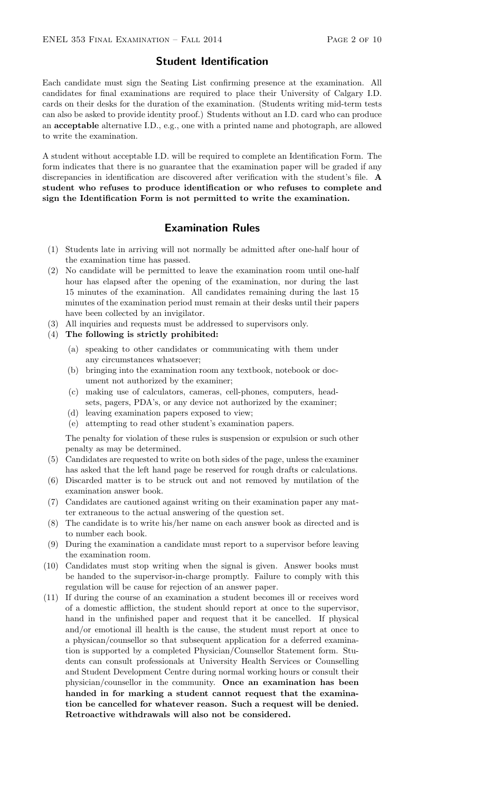#### Student Identification

Each candidate must sign the Seating List confirming presence at the examination. All candidates for final examinations are required to place their University of Calgary I.D. cards on their desks for the duration of the examination. (Students writing mid-term tests can also be asked to provide identity proof.) Students without an I.D. card who can produce an acceptable alternative I.D., e.g., one with a printed name and photograph, are allowed to write the examination.

A student without acceptable I.D. will be required to complete an Identification Form. The form indicates that there is no guarantee that the examination paper will be graded if any discrepancies in identification are discovered after verification with the student's file. A student who refuses to produce identification or who refuses to complete and sign the Identification Form is not permitted to write the examination.

### Examination Rules

- (1) Students late in arriving will not normally be admitted after one-half hour of the examination time has passed.
- (2) No candidate will be permitted to leave the examination room until one-half hour has elapsed after the opening of the examination, nor during the last 15 minutes of the examination. All candidates remaining during the last 15 minutes of the examination period must remain at their desks until their papers have been collected by an invigilator.
- (3) All inquiries and requests must be addressed to supervisors only.
- (4) The following is strictly prohibited:
	- (a) speaking to other candidates or communicating with them under any circumstances whatsoever;
	- (b) bringing into the examination room any textbook, notebook or document not authorized by the examiner;
	- (c) making use of calculators, cameras, cell-phones, computers, headsets, pagers, PDA's, or any device not authorized by the examiner;
	- (d) leaving examination papers exposed to view;
	- (e) attempting to read other student's examination papers.

The penalty for violation of these rules is suspension or expulsion or such other penalty as may be determined.

- (5) Candidates are requested to write on both sides of the page, unless the examiner has asked that the left hand page be reserved for rough drafts or calculations.
- (6) Discarded matter is to be struck out and not removed by mutilation of the examination answer book.
- (7) Candidates are cautioned against writing on their examination paper any matter extraneous to the actual answering of the question set.
- (8) The candidate is to write his/her name on each answer book as directed and is to number each book.
- (9) During the examination a candidate must report to a supervisor before leaving the examination room.
- (10) Candidates must stop writing when the signal is given. Answer books must be handed to the supervisor-in-charge promptly. Failure to comply with this regulation will be cause for rejection of an answer paper.
- (11) If during the course of an examination a student becomes ill or receives word of a domestic affliction, the student should report at once to the supervisor, hand in the unfinished paper and request that it be cancelled. If physical and/or emotional ill health is the cause, the student must report at once to a physican/counsellor so that subsequent application for a deferred examination is supported by a completed Physician/Counsellor Statement form. Students can consult professionals at University Health Services or Counselling and Student Development Centre during normal working hours or consult their physician/counsellor in the community. Once an examination has been handed in for marking a student cannot request that the examination be cancelled for whatever reason. Such a request will be denied. Retroactive withdrawals will also not be considered.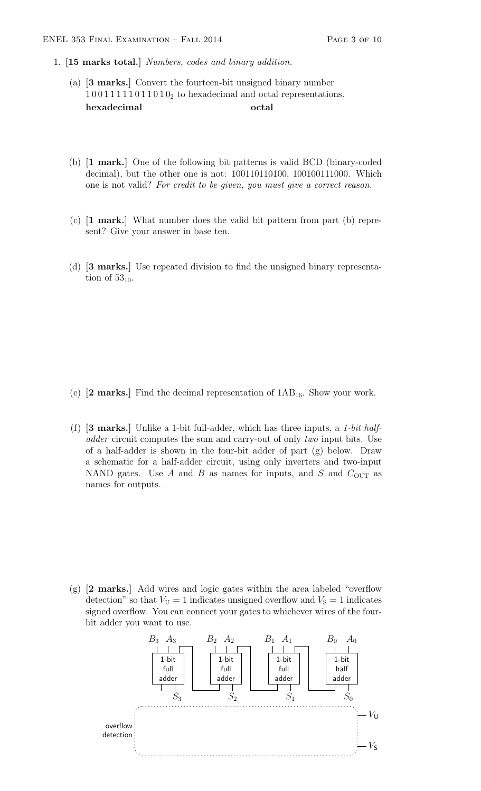- 1. [15 marks total.] Numbers, codes and binary addition.
	- (a) [3 marks.] Convert the fourteen-bit unsigned binary number  $1001111110110<sub>2</sub>$  to hexadecimal and octal representations. hexadecimal octal
	- (b) [1 mark.] One of the following bit patterns is valid BCD (binary-coded decimal), but the other one is not: 100110110100, 100100111000. Which one is not valid? For credit to be given, you must give a correct reason.
	- (c) [1 mark.] What number does the valid bit pattern from part (b) represent? Give your answer in base ten.
	- (d) [3 marks.] Use repeated division to find the unsigned binary representation of  $53_{10}$ .

- (e)  $[2 \text{ marks.}]$  Find the decimal representation of  $1AB_{16}$ . Show your work.
- (f)  $[3 \text{ marks.}]$  Unlike a 1-bit full-adder, which has three inputs, a 1-bit halfadder circuit computes the sum and carry-out of only two input bits. Use of a half-adder is shown in the four-bit adder of part (g) below. Draw a schematic for a half-adder circuit, using only inverters and two-input NAND gates. Use  $A$  and  $B$  as names for inputs, and  $S$  and  $C_{\text{OUT}}$  as names for outputs.

(g) [2 marks.] Add wires and logic gates within the area labeled "overflow detection" so that  $V_U = 1$  indicates unsigned overflow and  $V_S = 1$  indicates signed overflow. You can connect your gates to whichever wires of the fourbit adder you want to use.

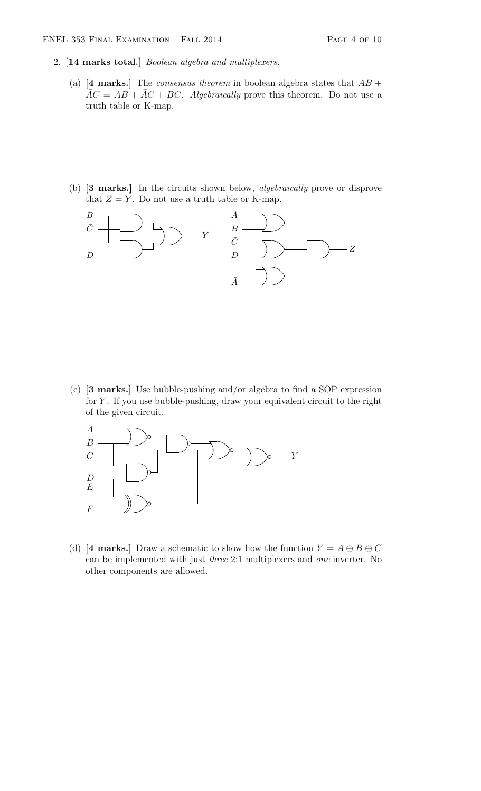- 2. [14 marks total.] Boolean algebra and multiplexers.
	- (a) [4 marks.] The *consensus theorem* in boolean algebra states that  $AB +$  $\overline{AC} = AB + \overline{AC} + BC$ . Algebraically prove this theorem. Do not use a truth table or K-map.
	- (b) [3 marks.] In the circuits shown below, algebraically prove or disprove that  $Z = Y$ . Do not use a truth table or K-map.



(c) [3 marks.] Use bubble-pushing and/or algebra to find a SOP expression for  $Y$ . If you use bubble-pushing, draw your equivalent circuit to the right of the given circuit.



(d) [4 marks.] Draw a schematic to show how the function  $Y = A \oplus B \oplus C$ can be implemented with just three 2:1 multiplexers and one inverter. No other components are allowed.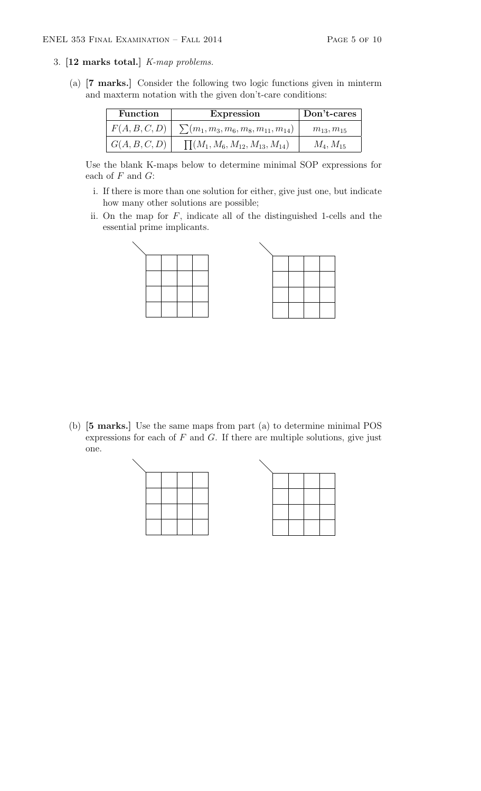#### 3. [12 marks total.] K-map problems.

(a) [7 marks.] Consider the following two logic functions given in minterm and maxterm notation with the given don't-care conditions:

| <b>Function</b> | <b>Expression</b>                           | Don't-cares      |
|-----------------|---------------------------------------------|------------------|
| F(A, B, C, D)   | $\sum (m_1, m_3, m_6, m_8, m_{11}, m_{14})$ | $m_{13}, m_{15}$ |
| G(A, B, C, D)   | $\prod (M_1, M_6, M_{12}, M_{13}, M_{14})$  | $M_4, M_{15}$    |

Use the blank K-maps below to determine minimal SOP expressions for each of  $F$  and  $G$ :

- i. If there is more than one solution for either, give just one, but indicate how many other solutions are possible;
- ii. On the map for  $F$ , indicate all of the distinguished 1-cells and the essential prime implicants.

(b) [5 marks.] Use the same maps from part (a) to determine minimal POS expressions for each of  $F$  and  $G$ . If there are multiple solutions, give just one.

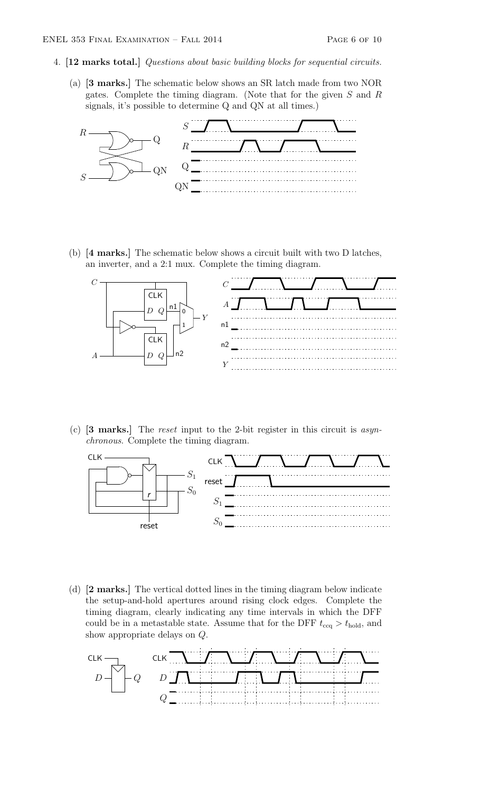- 4. [12 marks total.] Questions about basic building blocks for sequential circuits.
	- (a) [3 marks.] The schematic below shows an SR latch made from two NOR gates. Complete the timing diagram. (Note that for the given S and R signals, it's possible to determine Q and QN at all times.)



(b) [4 marks.] The schematic below shows a circuit built with two D latches, an inverter, and a 2:1 mux. Complete the timing diagram.



(c) [3 marks.] The reset input to the 2-bit register in this circuit is asynchronous. Complete the timing diagram.



(d) [2 marks.] The vertical dotted lines in the timing diagram below indicate the setup-and-hold apertures around rising clock edges. Complete the timing diagram, clearly indicating any time intervals in which the DFF could be in a metastable state. Assume that for the DFF  $t_{\text{ccq}} > t_{\text{hold}}$ , and show appropriate delays on Q.

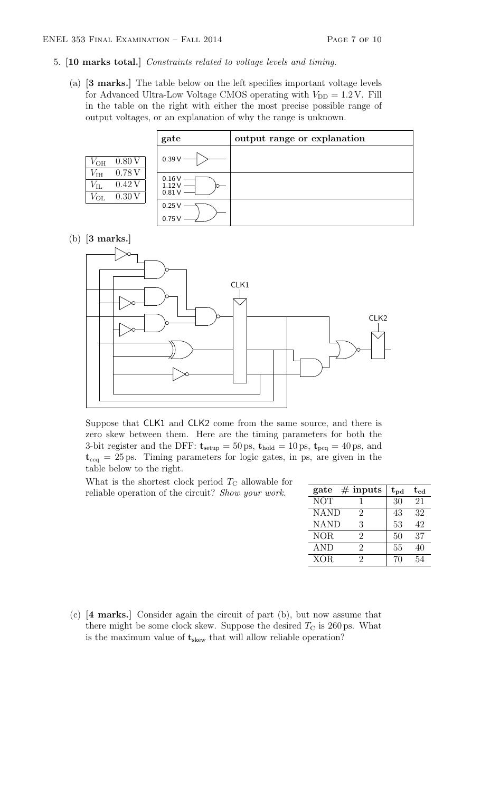- 5. [10 marks total.] Constraints related to voltage levels and timing.
	- (a) [3 marks.] The table below on the left specifies important voltage levels for Advanced Ultra-Low Voltage CMOS operating with  $V_{\text{DD}} = 1.2 \text{ V}$ . Fill in the table on the right with either the most precise possible range of output voltages, or an explanation of why the range is unknown.

|                                              |                         | gate                    | output range or explanation |
|----------------------------------------------|-------------------------|-------------------------|-----------------------------|
| $V_{OH}$                                     | 0.80V                   | $0.39V -$               |                             |
| $V_{\rm IH}$<br>$V_{\rm IL}$<br>$V_{\rm OL}$ | 0.78V<br>0.42V<br>0.30V | 0.16V<br>1.12V<br>0.81V |                             |
|                                              |                         | 0.25V<br>0.75V          |                             |

(b) [3 marks.]



Suppose that CLK1 and CLK2 come from the same source, and there is zero skew between them. Here are the timing parameters for both the 3-bit register and the DFF:  $t_{\text{setup}} = 50 \text{ ps}, t_{\text{hold}} = 10 \text{ ps}, t_{\text{pcq}} = 40 \text{ ps}, \text{ and}$  $t_{ccq} = 25 \,\text{ps}$ . Timing parameters for logic gates, in ps, are given in the table below to the right.

What is the shortest clock period  $T_{\rm C}$  allowable for reliable operation of the circuit? Show your work.

| gate        | $#$ inputs | $\mathrm{t_{pd}}$ | $\rm t_{cd}$ |
|-------------|------------|-------------------|--------------|
| <b>NOT</b>  |            | 30                | 21           |
| <b>NAND</b> | 2          | 43                | 32           |
| <b>NAND</b> | 3          | 53                | 42           |
| <b>NOR</b>  | 2          | 50                | 37           |
| <b>AND</b>  | 2          | 55                | 40           |
| <b>XOR</b>  | 2          | 70                |              |

(c) [4 marks.] Consider again the circuit of part (b), but now assume that there might be some clock skew. Suppose the desired  $T_{\rm C}$  is 260 ps. What is the maximum value of  $t_{\text{skew}}$  that will allow reliable operation?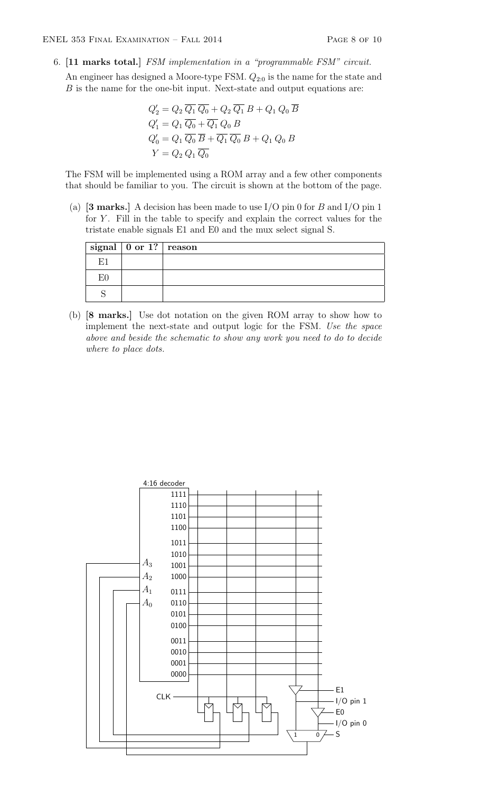6. [11 marks total.] FSM implementation in a "programmable FSM" circuit.

An engineer has designed a Moore-type FSM.  $Q_{2:0}$  is the name for the state and B is the name for the one-bit input. Next-state and output equations are:

$$
Q'_2 = Q_2 \overline{Q_1} \overline{Q_0} + Q_2 \overline{Q_1} B + Q_1 Q_0 \overline{B}
$$
  
\n
$$
Q'_1 = Q_1 \overline{Q_0} + \overline{Q_1} Q_0 B
$$
  
\n
$$
Q'_0 = Q_1 \overline{Q_0} \overline{B} + \overline{Q_1} \overline{Q_0} B + Q_1 Q_0 B
$$
  
\n
$$
Y = Q_2 Q_1 \overline{Q_0}
$$

The FSM will be implemented using a ROM array and a few other components that should be familiar to you. The circuit is shown at the bottom of the page.

(a)  $[3 \text{ marks.}]$  A decision has been made to use I/O pin 0 for B and I/O pin 1 for  $Y$ . Fill in the table to specify and explain the correct values for the tristate enable signals E1 and E0 and the mux select signal S.

|    | $\vert$ signal $\vert$ 0 or 1? $\vert$ reason |  |
|----|-----------------------------------------------|--|
| F. |                                               |  |
|    |                                               |  |
|    |                                               |  |

(b) [8 marks.] Use dot notation on the given ROM array to show how to implement the next-state and output logic for the FSM. Use the space above and beside the schematic to show any work you need to do to decide where to place dots.

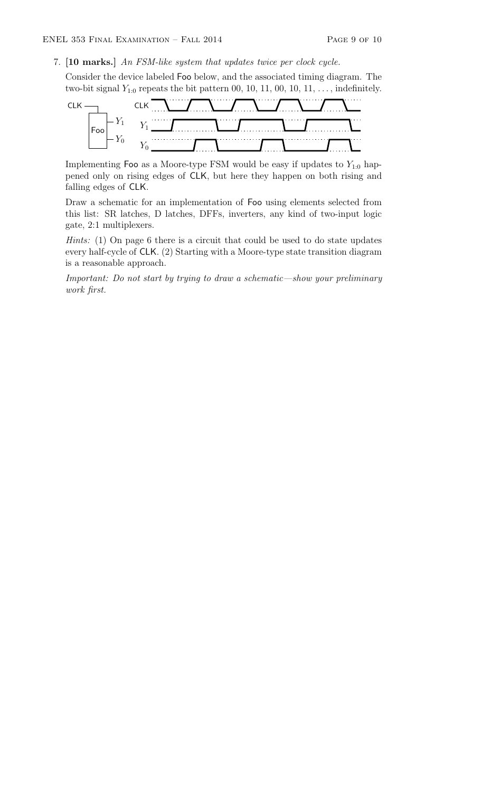7. [10 marks.] An FSM-like system that updates twice per clock cycle.

Consider the device labeled Foo below, and the associated timing diagram. The two-bit signal  $Y_{1:0}$  repeats the bit pattern 00, 10, 11, 00, 10, 11, ..., indefinitely.



Implementing Foo as a Moore-type FSM would be easy if updates to  $Y_{1:0}$  happened only on rising edges of CLK, but here they happen on both rising and falling edges of CLK.

Draw a schematic for an implementation of Foo using elements selected from this list: SR latches, D latches, DFFs, inverters, any kind of two-input logic gate, 2:1 multiplexers.

Hints: (1) On page 6 there is a circuit that could be used to do state updates every half-cycle of CLK. (2) Starting with a Moore-type state transition diagram is a reasonable approach.

Important: Do not start by trying to draw a schematic—show your preliminary work first.